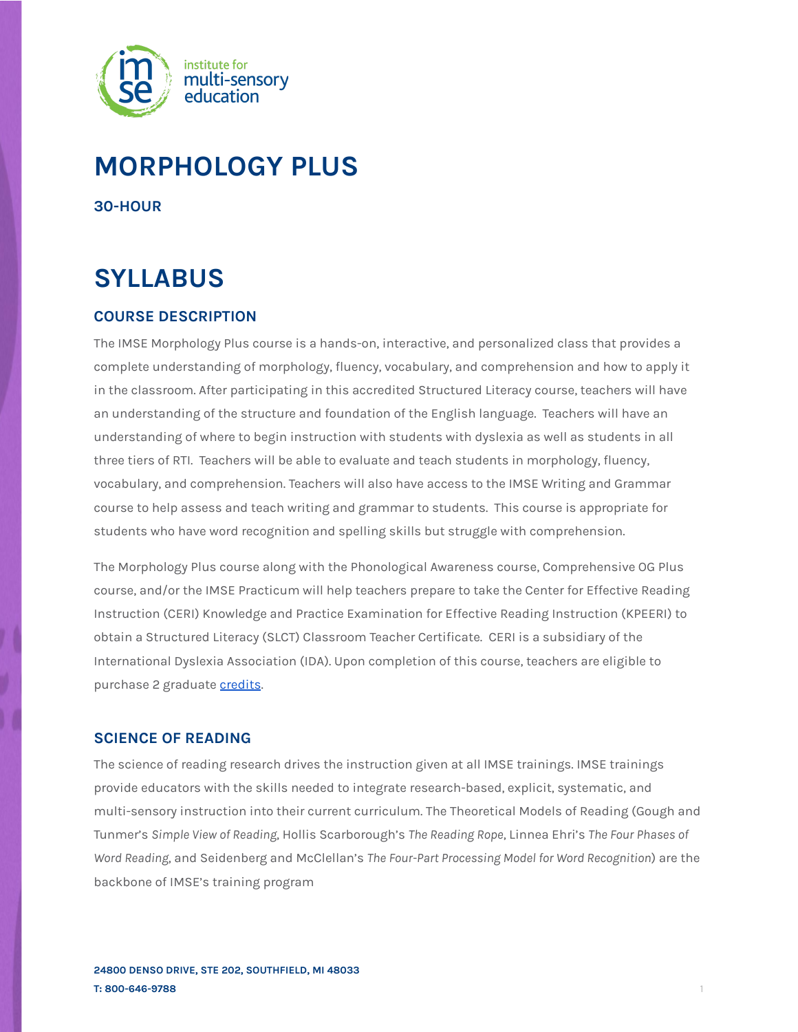

# **MORPHOLOGY PLUS**

**30-HOUR**

# **SYLLABUS**

# **COURSE DESCRIPTION**

The IMSE Morphology Plus course is a hands-on, interactive, and personalized class that provides a complete understanding of morphology, fluency, vocabulary, and comprehension and how to apply it in the classroom. After participating in this accredited Structured Literacy course, teachers will have an understanding of the structure and foundation of the English language. Teachers will have an understanding of where to begin instruction with students with dyslexia as well as students in all three tiers of RTI. Teachers will be able to evaluate and teach students in morphology, fluency, vocabulary, and comprehension. Teachers will also have access to the IMSE Writing and Grammar course to help assess and teach writing and grammar to students. This course is appropriate for students who have word recognition and spelling skills but struggle with comprehension.

The Morphology Plus course along with the Phonological Awareness course, Comprehensive OG Plus course, and/or the IMSE Practicum will help teachers prepare to take the Center for Effective Reading Instruction (CERI) Knowledge and Practice Examination for Effective Reading Instruction (KPEERI) to obtain a Structured Literacy (SLCT) Classroom Teacher Certificate. CERI is a subsidiary of the International Dyslexia Association (IDA). Upon completion of this course, teachers are eligible to purchase 2 graduate [credits](https://imse.com/state-college-credits/).

## **SCIENCE OF READING**

The science of reading research drives the instruction given at all IMSE trainings. IMSE trainings provide educators with the skills needed to integrate research-based, explicit, systematic, and multi-sensory instruction into their current curriculum. The Theoretical Models of Reading (Gough and Tunmer's *Simple View of Reading*, Hollis Scarborough's *The Reading Rope*, Linnea Ehri's *The Four Phases of Word Reading*, and Seidenberg and McClellan's *The Four-Part Processing Model for Word Recognition*) are the backbone of IMSE's training program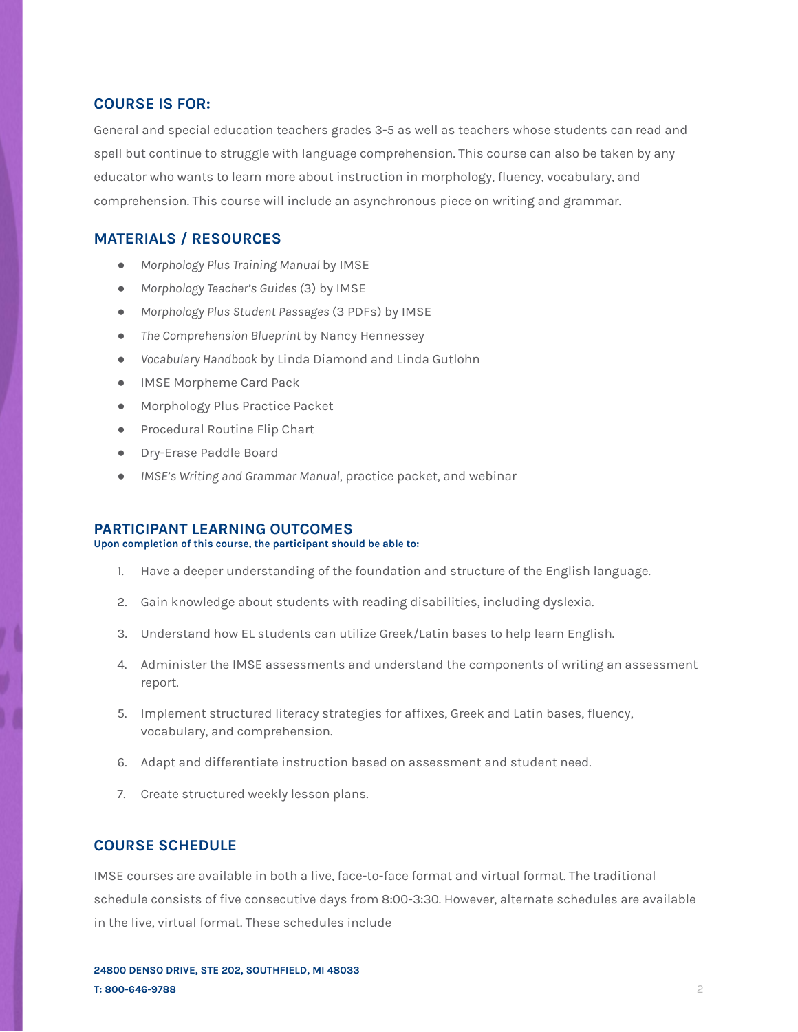## **COURSE IS FOR:**

General and special education teachers grades 3-5 as well as teachers whose students can read and spell but continue to struggle with language comprehension. This course can also be taken by any educator who wants to learn more about instruction in morphology, fluency, vocabulary, and comprehension. This course will include an asynchronous piece on writing and grammar.

## **MATERIALS / RESOURCES**

- *Morphology Plus Training Manual* by IMSE
- *Morphology Teacher's Guides (*3) by IMSE
- *Morphology Plus Student Passages* (3 PDFs) by IMSE
- *The Comprehension Blueprint* by Nancy Hennessey
- *Vocabulary Handbook* by Linda Diamond and Linda Gutlohn
- IMSE Morpheme Card Pack
- Morphology Plus Practice Packet
- Procedural Routine Flip Chart
- Dry-Erase Paddle Board
- *IMSE's Writing and Grammar Manual*, practice packet, and webinar

## **PARTICIPANT LEARNING OUTCOMES**

## **Upon completion of this course, the participant should be able to:**

- 1. Have a deeper understanding of the foundation and structure of the English language.
- 2. Gain knowledge about students with reading disabilities, including dyslexia.
- 3. Understand how EL students can utilize Greek/Latin bases to help learn English.
- 4. Administer the IMSE assessments and understand the components of writing an assessment report.
- 5. Implement structured literacy strategies for affixes, Greek and Latin bases, fluency, vocabulary, and comprehension.
- 6. Adapt and differentiate instruction based on assessment and student need.
- 7. Create structured weekly lesson plans.

## **COURSE SCHEDULE**

IMSE courses are available in both a live, face-to-face format and virtual format. The traditional schedule consists of five consecutive days from 8:00-3:30. However, alternate schedules are available in the live, virtual format. These schedules include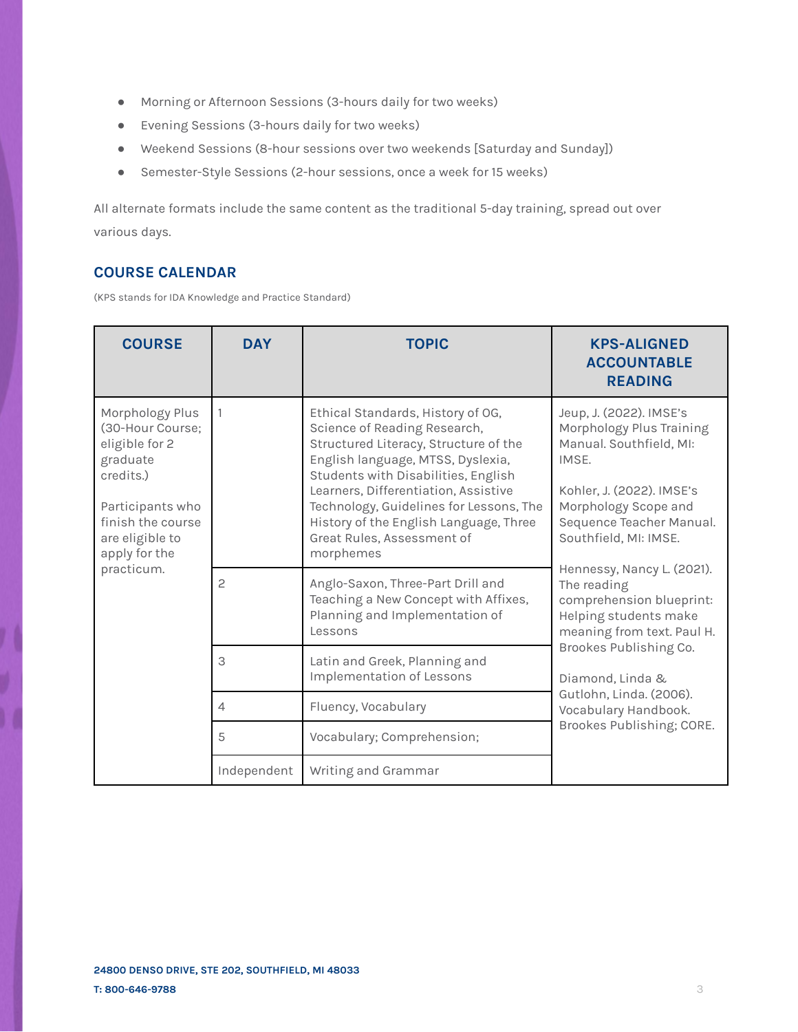- Morning or Afternoon Sessions (3-hours daily for two weeks)
- Evening Sessions (3-hours daily for two weeks)
- Weekend Sessions (8-hour sessions over two weekends [Saturday and Sunday])
- Semester-Style Sessions (2-hour sessions, once a week for 15 weeks)

All alternate formats include the same content as the traditional 5-day training, spread out over various days.

# **COURSE CALENDAR**

(KPS stands for IDA Knowledge and Practice Standard)

| <b>COURSE</b>                                                                                                                                                             | <b>DAY</b>     | <b>TOPIC</b>                                                                                                                                                                                                                                                                                                                                                   | <b>KPS-ALIGNED</b><br><b>ACCOUNTABLE</b><br><b>READING</b>                                                                                                                                                                                                                                                                                                                                                                                                      |
|---------------------------------------------------------------------------------------------------------------------------------------------------------------------------|----------------|----------------------------------------------------------------------------------------------------------------------------------------------------------------------------------------------------------------------------------------------------------------------------------------------------------------------------------------------------------------|-----------------------------------------------------------------------------------------------------------------------------------------------------------------------------------------------------------------------------------------------------------------------------------------------------------------------------------------------------------------------------------------------------------------------------------------------------------------|
| Morphology Plus<br>(30-Hour Course;<br>eligible for 2<br>graduate<br>credits.)<br>Participants who<br>finish the course<br>are eligible to<br>apply for the<br>practicum. | 1              | Ethical Standards, History of OG,<br>Science of Reading Research,<br>Structured Literacy, Structure of the<br>English language, MTSS, Dyslexia,<br>Students with Disabilities, English<br>Learners, Differentiation, Assistive<br>Technology, Guidelines for Lessons, The<br>History of the English Language, Three<br>Great Rules, Assessment of<br>morphemes | Jeup, J. (2022). IMSE's<br>Morphology Plus Training<br>Manual. Southfield, MI:<br>IMSE.<br>Kohler, J. (2022). IMSE's<br>Morphology Scope and<br>Sequence Teacher Manual.<br>Southfield, MI: IMSE.<br>Hennessy, Nancy L. (2021).<br>The reading<br>comprehension blueprint:<br>Helping students make<br>meaning from text. Paul H.<br>Brookes Publishing Co.<br>Diamond, Linda &<br>Gutlohn, Linda. (2006).<br>Vocabulary Handbook.<br>Brookes Publishing; CORE. |
|                                                                                                                                                                           | $\mathbf{2}$   | Anglo-Saxon, Three-Part Drill and<br>Teaching a New Concept with Affixes,<br>Planning and Implementation of<br>Lessons                                                                                                                                                                                                                                         |                                                                                                                                                                                                                                                                                                                                                                                                                                                                 |
|                                                                                                                                                                           | 3              | Latin and Greek, Planning and<br><b>Implementation of Lessons</b>                                                                                                                                                                                                                                                                                              |                                                                                                                                                                                                                                                                                                                                                                                                                                                                 |
|                                                                                                                                                                           | $\overline{4}$ | Fluency, Vocabulary                                                                                                                                                                                                                                                                                                                                            |                                                                                                                                                                                                                                                                                                                                                                                                                                                                 |
|                                                                                                                                                                           | 5              | Vocabulary; Comprehension;                                                                                                                                                                                                                                                                                                                                     |                                                                                                                                                                                                                                                                                                                                                                                                                                                                 |
|                                                                                                                                                                           | Independent    | Writing and Grammar                                                                                                                                                                                                                                                                                                                                            |                                                                                                                                                                                                                                                                                                                                                                                                                                                                 |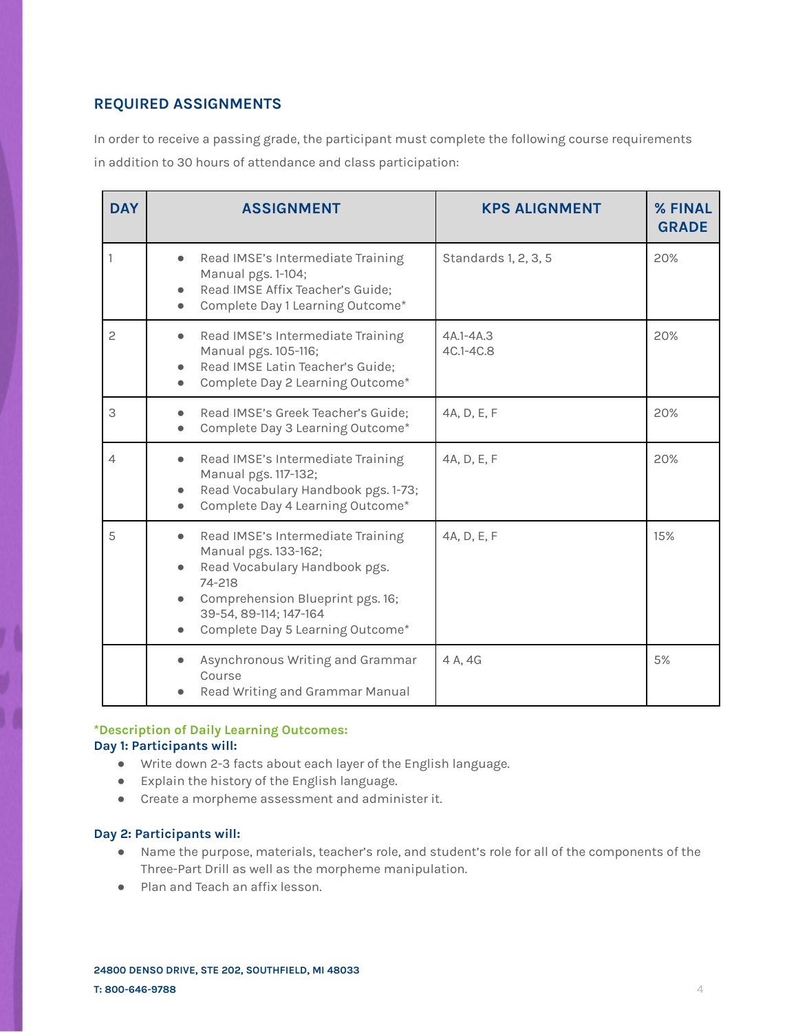# **REQUIRED ASSIGNMENTS**

In order to receive a passing grade, the participant must complete the following course requirements in addition to 30 hours of attendance and class participation:

| <b>DAY</b>     | <b>ASSIGNMENT</b>                                                                                                                                                                                                                | <b>KPS ALIGNMENT</b>   | % FINAL<br><b>GRADE</b> |
|----------------|----------------------------------------------------------------------------------------------------------------------------------------------------------------------------------------------------------------------------------|------------------------|-------------------------|
|                | Read IMSE's Intermediate Training<br>$\bullet$<br>Manual pgs. 1-104;<br>Read IMSE Affix Teacher's Guide;<br>Complete Day 1 Learning Outcome*                                                                                     | Standards 1, 2, 3, 5   | 20%                     |
| $\overline{c}$ | Read IMSE's Intermediate Training<br>$\bullet$<br>Manual pgs. 105-116;<br>Read IMSE Latin Teacher's Guide;<br>Complete Day 2 Learning Outcome*                                                                                   | 4A.1-4A.3<br>4C.1-4C.8 | 20%                     |
| 3              | Read IMSE's Greek Teacher's Guide;<br>Complete Day 3 Learning Outcome*                                                                                                                                                           | 4A, D, E, F            | 20%                     |
| 4              | Read IMSE's Intermediate Training<br>$\bullet$<br>Manual pgs. 117-132;<br>Read Vocabulary Handbook pgs. 1-73;<br>Complete Day 4 Learning Outcome*                                                                                | 4A, D, E, F            | 20%                     |
| 5              | Read IMSE's Intermediate Training<br>$\bullet$<br>Manual pgs. 133-162;<br>Read Vocabulary Handbook pgs.<br>$\bullet$<br>74-218<br>Comprehension Blueprint pgs. 16;<br>39-54, 89-114; 147-164<br>Complete Day 5 Learning Outcome* | 4A, D, E, F            | 15%                     |
|                | Asynchronous Writing and Grammar<br>Course<br>Read Writing and Grammar Manual                                                                                                                                                    | 4 A. 4G                | 5%                      |

## **\*Description of Daily Learning Outcomes: Day 1: Participants will:**

- Write down 2-3 facts about each layer of the English language.
- Explain the history of the English language.
- Create a morpheme assessment and administer it.

## **Day 2: Participants will:**

- Name the purpose, materials, teacher's role, and student's role for all of the components of the Three-Part Drill as well as the morpheme manipulation.
- Plan and Teach an affix lesson.